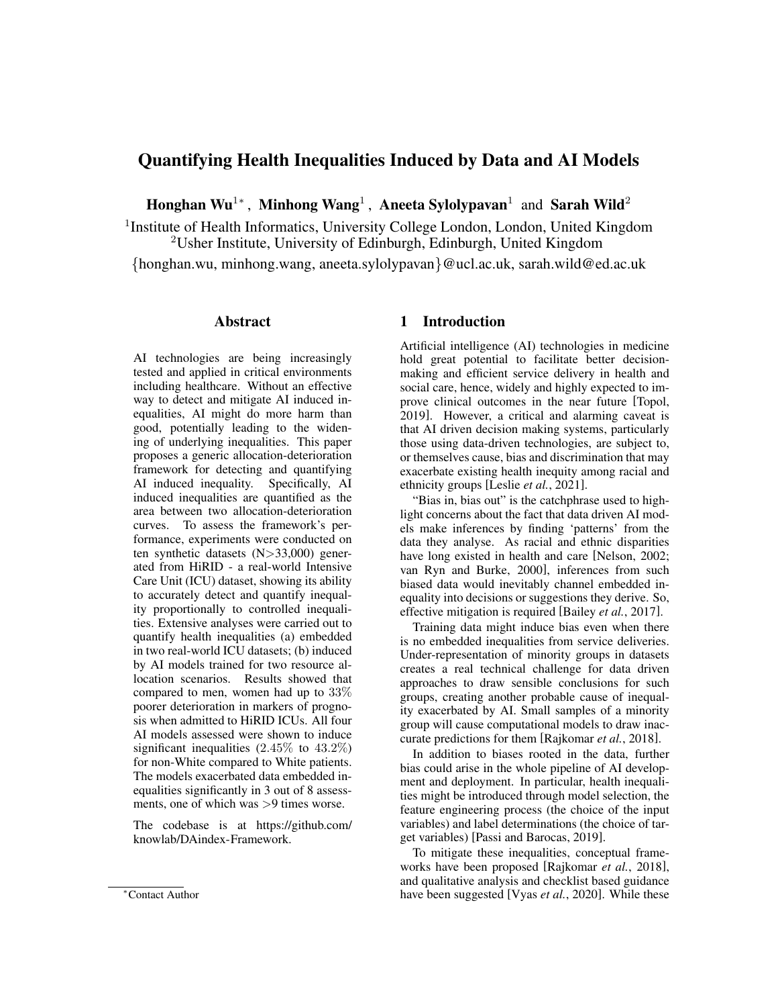# Quantifying Health Inequalities Induced by Data and AI Models

Honghan Wu<sup>1∗</sup>, Minhong Wang<sup>1</sup>, Aneeta Sylolypavan<sup>1</sup> and Sarah Wild<sup>2</sup>

<sup>1</sup> Institute of Health Informatics, University College London, London, United Kingdom  $2$ Usher Institute, University of Edinburgh, Edinburgh, United Kingdom

{honghan.wu, minhong.wang, aneeta.sylolypavan}@ucl.ac.uk, sarah.wild@ed.ac.uk

#### Abstract

AI technologies are being increasingly tested and applied in critical environments including healthcare. Without an effective way to detect and mitigate AI induced inequalities, AI might do more harm than good, potentially leading to the widening of underlying inequalities. This paper proposes a generic allocation-deterioration framework for detecting and quantifying AI induced inequality. Specifically, AI induced inequalities are quantified as the area between two allocation-deterioration curves. To assess the framework's performance, experiments were conducted on ten synthetic datasets (N>33,000) generated from HiRID - a real-world Intensive Care Unit (ICU) dataset, showing its ability to accurately detect and quantify inequality proportionally to controlled inequalities. Extensive analyses were carried out to quantify health inequalities (a) embedded in two real-world ICU datasets; (b) induced by AI models trained for two resource allocation scenarios. Results showed that compared to men, women had up to 33% poorer deterioration in markers of prognosis when admitted to HiRID ICUs. All four AI models assessed were shown to induce significant inequalities  $(2.45\% \text{ to } 43.2\%)$ for non-White compared to White patients. The models exacerbated data embedded inequalities significantly in 3 out of 8 assessments, one of which was >9 times worse.

The codebase is at [https://github.com/](https://github.com/knowlab/DAindex-Framework) [knowlab/DAindex-Framework.](https://github.com/knowlab/DAindex-Framework)

#### 1 Introduction

Artificial intelligence (AI) technologies in medicine hold great potential to facilitate better decisionmaking and efficient service delivery in health and social care, hence, widely and highly expected to improve clinical outcomes in the near future [\[Topol,](#page-7-0) [2019\]](#page-7-0). However, a critical and alarming caveat is that AI driven decision making systems, particularly those using data-driven technologies, are subject to, or themselves cause, bias and discrimination that may exacerbate existing health inequity among racial and ethnicity groups [Leslie *et al.*[, 2021\]](#page-7-1).

"Bias in, bias out" is the catchphrase used to highlight concerns about the fact that data driven AI models make inferences by finding 'patterns' from the data they analyse. As racial and ethnic disparities have long existed in health and care [\[Nelson, 2002;](#page-7-2) [van Ryn and Burke, 2000\]](#page-7-3), inferences from such biased data would inevitably channel embedded inequality into decisions or suggestions they derive. So, effective mitigation is required [\[Bailey](#page-7-4) *et al.*, 2017].

Training data might induce bias even when there is no embedded inequalities from service deliveries. Under-representation of minority groups in datasets creates a real technical challenge for data driven approaches to draw sensible conclusions for such groups, creating another probable cause of inequality exacerbated by AI. Small samples of a minority group will cause computational models to draw inaccurate predictions for them [\[Rajkomar](#page-7-5) *et al.*, 2018].

In addition to biases rooted in the data, further bias could arise in the whole pipeline of AI development and deployment. In particular, health inequalities might be introduced through model selection, the feature engineering process (the choice of the input variables) and label determinations (the choice of target variables) [\[Passi and Barocas, 2019\]](#page-7-6).

To mitigate these inequalities, conceptual frameworks have been proposed [\[Rajkomar](#page-7-5) *et al.*, 2018], and qualitative analysis and checklist based guidance have been suggested [Vyas *et al.*[, 2020\]](#page-7-7). While these

<sup>∗</sup>Contact Author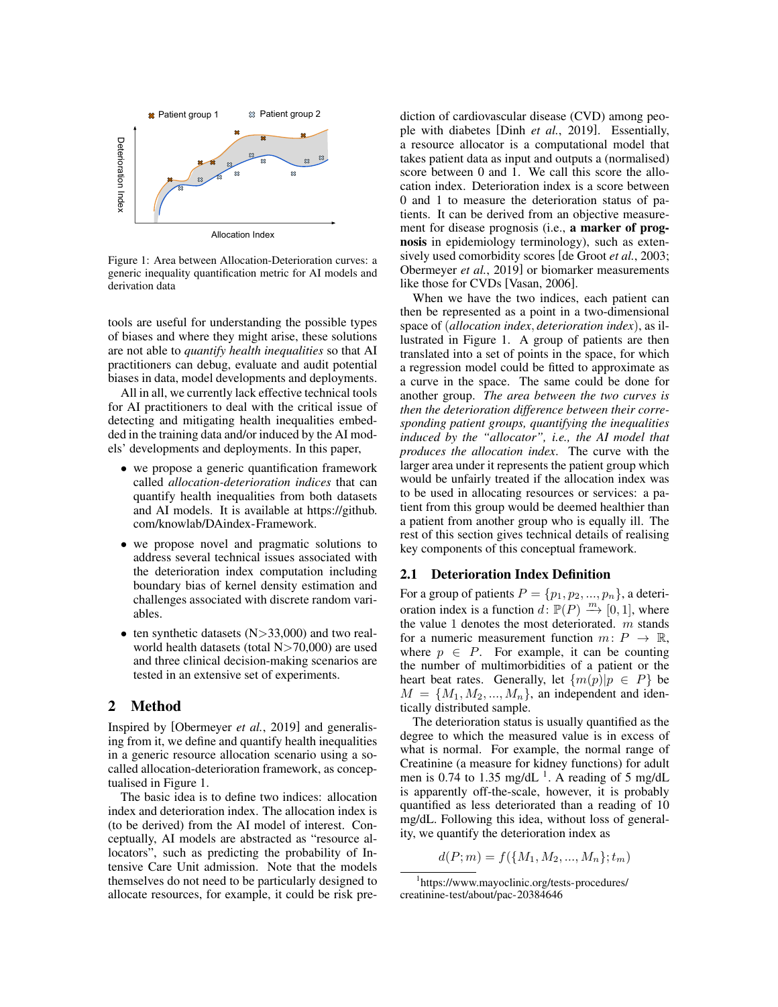<span id="page-1-0"></span>

Figure 1: Area between Allocation-Deterioration curves: a generic inequality quantification metric for AI models and derivation data

tools are useful for understanding the possible types of biases and where they might arise, these solutions are not able to *quantify health inequalities* so that AI practitioners can debug, evaluate and audit potential biases in data, model developments and deployments.

All in all, we currently lack effective technical tools for AI practitioners to deal with the critical issue of detecting and mitigating health inequalities embedded in the training data and/or induced by the AI models' developments and deployments. In this paper,

- we propose a generic quantification framework called *allocation-deterioration indices* that can quantify health inequalities from both datasets and AI models. It is available at [https://github.](https://github.com/knowlab/DAindex-Framework) [com/knowlab/DAindex-Framework.](https://github.com/knowlab/DAindex-Framework)
- we propose novel and pragmatic solutions to address several technical issues associated with the deterioration index computation including boundary bias of kernel density estimation and challenges associated with discrete random variables.
- ten synthetic datasets  $(N>33,000)$  and two realworld health datasets (total N>70,000) are used and three clinical decision-making scenarios are tested in an extensive set of experiments.

### 2 Method

Inspired by [\[Obermeyer](#page-7-8) *et al.*, 2019] and generalising from it, we define and quantify health inequalities in a generic resource allocation scenario using a socalled allocation-deterioration framework, as conceptualised in Figure [1.](#page-1-0)

The basic idea is to define two indices: allocation index and deterioration index. The allocation index is (to be derived) from the AI model of interest. Conceptually, AI models are abstracted as "resource allocators", such as predicting the probability of Intensive Care Unit admission. Note that the models themselves do not need to be particularly designed to allocate resources, for example, it could be risk prediction of cardiovascular disease (CVD) among people with diabetes [Dinh *et al.*[, 2019\]](#page-7-9). Essentially, a resource allocator is a computational model that takes patient data as input and outputs a (normalised) score between 0 and 1. We call this score the allocation index. Deterioration index is a score between 0 and 1 to measure the deterioration status of patients. It can be derived from an objective measurement for disease prognosis (i.e., a marker of prognosis in epidemiology terminology), such as extensively used comorbidity scores [\[de Groot](#page-7-10) *et al.*, 2003; [Obermeyer](#page-7-8) *et al.*, 2019] or biomarker measurements like those for CVDs [\[Vasan, 2006\]](#page-7-11).

When we have the two indices, each patient can then be represented as a point in a two-dimensional space of (*allocation index*, *deterioration index*), as illustrated in Figure [1.](#page-1-0) A group of patients are then translated into a set of points in the space, for which a regression model could be fitted to approximate as a curve in the space. The same could be done for another group. *The area between the two curves is then the deterioration difference between their corresponding patient groups, quantifying the inequalities induced by the "allocator", i.e., the AI model that produces the allocation index*. The curve with the larger area under it represents the patient group which would be unfairly treated if the allocation index was to be used in allocating resources or services: a patient from this group would be deemed healthier than a patient from another group who is equally ill. The rest of this section gives technical details of realising key components of this conceptual framework.

## 2.1 Deterioration Index Definition

For a group of patients  $P = \{p_1, p_2, ..., p_n\}$ , a deterioration index is a function  $d: \mathbb{P}(P) \stackrel{m}{\longrightarrow} [0,1]$ , where the value 1 denotes the most deteriorated.  $m$  stands for a numeric measurement function  $m: P \to \mathbb{R}$ , where  $p \in P$ . For example, it can be counting the number of multimorbidities of a patient or the heart beat rates. Generally, let  $\{m(p)|p \in P\}$  be  $M = \{M_1, M_2, ..., M_n\}$ , an independent and identically distributed sample.

The deterioration status is usually quantified as the degree to which the measured value is in excess of what is normal. For example, the normal range of Creatinine (a measure for kidney functions) for adult men is 0.74 to [1](#page-1-1).35 mg/dL<sup>1</sup>. A reading of 5 mg/dL is apparently off-the-scale, however, it is probably quantified as less deteriorated than a reading of 10 mg/dL. Following this idea, without loss of generality, we quantify the deterioration index as

$$
d(P; m) = f({M_1, M_2, ..., M_n}); t_m)
$$

<span id="page-1-1"></span><sup>1</sup> [https://www.mayoclinic.org/tests-procedures/](https://www.mayoclinic.org/tests-procedures/creatinine-test/about/pac-20384646) [creatinine-test/about/pac-20384646](https://www.mayoclinic.org/tests-procedures/creatinine-test/about/pac-20384646)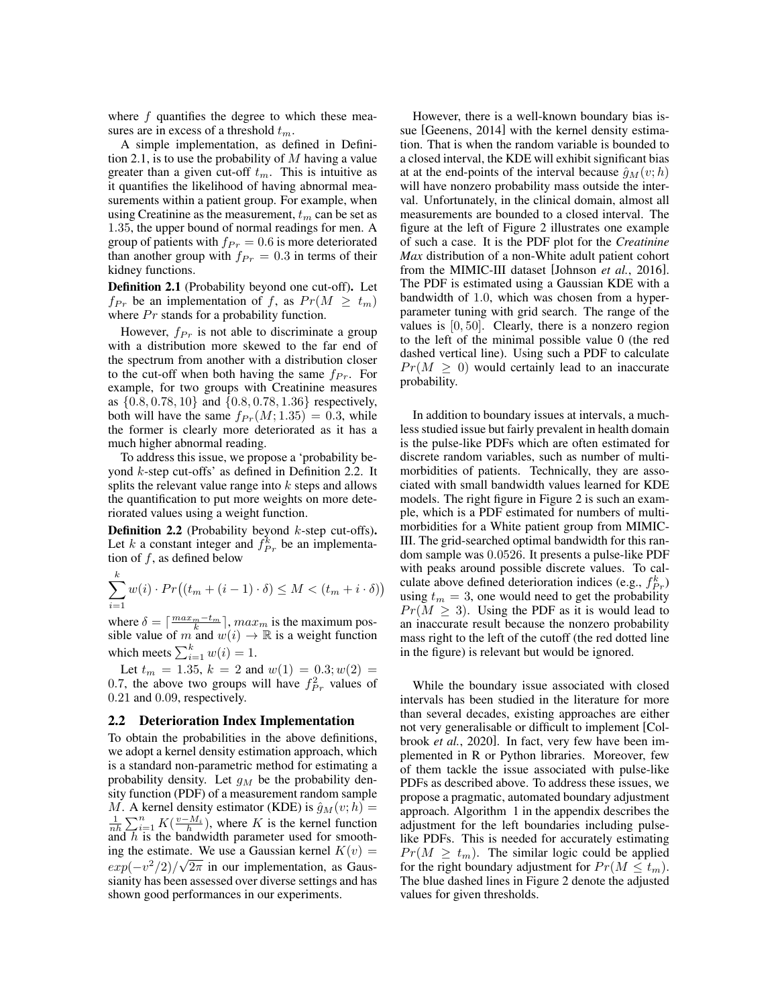where  $f$  quantifies the degree to which these measures are in excess of a threshold  $t_m$ .

A simple implementation, as defined in Defini-tion [2.1,](#page-2-0) is to use the probability of  $M$  having a value greater than a given cut-off  $t_m$ . This is intuitive as it quantifies the likelihood of having abnormal measurements within a patient group. For example, when using Creatinine as the measurement,  $t_m$  can be set as 1.35, the upper bound of normal readings for men. A group of patients with  $f_{Pr} = 0.6$  is more deteriorated than another group with  $f_{Pr} = 0.3$  in terms of their kidney functions.

<span id="page-2-0"></span>Definition 2.1 (Probability beyond one cut-off). Let  $f_{Pr}$  be an implementation of f, as  $Pr(M \geq t_m)$ where  $Pr$  stands for a probability function.

However,  $f_{Pr}$  is not able to discriminate a group with a distribution more skewed to the far end of the spectrum from another with a distribution closer to the cut-off when both having the same  $f_{Pr}$ . For example, for two groups with Creatinine measures as  $\{0.8, 0.78, 10\}$  and  $\{0.8, 0.78, 1.36\}$  respectively, both will have the same  $f_{Pr}(M; 1.35) = 0.3$ , while the former is clearly more deteriorated as it has a much higher abnormal reading.

To address this issue, we propose a 'probability beyond k-step cut-offs' as defined in Definition [2.2.](#page-2-1) It splits the relevant value range into  $k$  steps and allows the quantification to put more weights on more deteriorated values using a weight function.

<span id="page-2-1"></span>**Definition 2.2** (Probability beyond  $k$ -step cut-offs). Let k a constant integer and  $f_{Pr}^k$  be an implementation of  $f$ , as defined below

$$
\sum_{i=1}^{k} w(i) \cdot Pr\big((t_m + (i-1) \cdot \delta) \le M < (t_m + i \cdot \delta)\big)
$$

where  $\delta = \lceil \frac{max_m - t_m}{k} \rceil$ ,  $max_m$  is the maximum possible value of m and  $w(i) \rightarrow \mathbb{R}$  is a weight function which meets  $\sum_{i=1}^{k} w(i) = 1$ .

Let  $t_m = 1.35$ ,  $k = 2$  and  $w(1) = 0.3$ ;  $w(2) =$ 0.7, the above two groups will have  $f_{Pr}^2$  values of 0.21 and 0.09, respectively.

#### 2.2 Deterioration Index Implementation

To obtain the probabilities in the above definitions, we adopt a kernel density estimation approach, which is a standard non-parametric method for estimating a probability density. Let  $g_M$  be the probability density function (PDF) of a measurement random sample M. A kernel density estimator (KDE) is  $\hat{g}_M(v; h)$  =  $\frac{1}{nh} \sum_{i=1}^{n} K(\frac{v-M_i}{h})$ , where K is the kernel function and  $h$  is the bandwidth parameter used for smoothing the estimate. We use a Gaussian kernel  $K(v) =$  $exp(-v^2/2)/\sqrt{2\pi}$  in our implementation, as Gaussianity has been assessed over diverse settings and has shown good performances in our experiments.

However, there is a well-known boundary bias issue [\[Geenens, 2014\]](#page-7-12) with the kernel density estimation. That is when the random variable is bounded to a closed interval, the KDE will exhibit significant bias at at the end-points of the interval because  $\hat{g}_M(v; h)$ will have nonzero probability mass outside the interval. Unfortunately, in the clinical domain, almost all measurements are bounded to a closed interval. The figure at the left of Figure [2](#page-3-0) illustrates one example of such a case. It is the PDF plot for the *Creatinine Max* distribution of a non-White adult patient cohort from the MIMIC-III dataset [\[Johnson](#page-7-13) *et al.*, 2016]. The PDF is estimated using a Gaussian KDE with a bandwidth of 1.0, which was chosen from a hyperparameter tuning with grid search. The range of the values is [0, 50]. Clearly, there is a nonzero region to the left of the minimal possible value 0 (the red dashed vertical line). Using such a PDF to calculate  $Pr(M \geq 0)$  would certainly lead to an inaccurate probability.

In addition to boundary issues at intervals, a muchless studied issue but fairly prevalent in health domain is the pulse-like PDFs which are often estimated for discrete random variables, such as number of multimorbidities of patients. Technically, they are associated with small bandwidth values learned for KDE models. The right figure in Figure [2](#page-3-0) is such an example, which is a PDF estimated for numbers of multimorbidities for a White patient group from MIMIC-III. The grid-searched optimal bandwidth for this random sample was 0.0526. It presents a pulse-like PDF with peaks around possible discrete values. To calculate above defined deterioration indices (e.g.,  $f_{Pr}^k$ ) using  $t_m = 3$ , one would need to get the probability  $Pr(M > 3)$ . Using the PDF as it is would lead to an inaccurate result because the nonzero probability mass right to the left of the cutoff (the red dotted line in the figure) is relevant but would be ignored.

While the boundary issue associated with closed intervals has been studied in the literature for more than several decades, existing approaches are either not very generalisable or difficult to implement [\[Col](#page-7-14)brook *et al.*[, 2020\]](#page-7-14). In fact, very few have been implemented in R or Python libraries. Moreover, few of them tackle the issue associated with pulse-like PDFs as described above. To address these issues, we propose a pragmatic, automated boundary adjustment approach. Algorithm [1](#page-8-0) in the appendix describes the adjustment for the left boundaries including pulselike PDFs. This is needed for accurately estimating  $Pr(M \geq t_m)$ . The similar logic could be applied for the right boundary adjustment for  $Pr(M \leq t_m)$ . The blue dashed lines in Figure [2](#page-3-0) denote the adjusted values for given thresholds.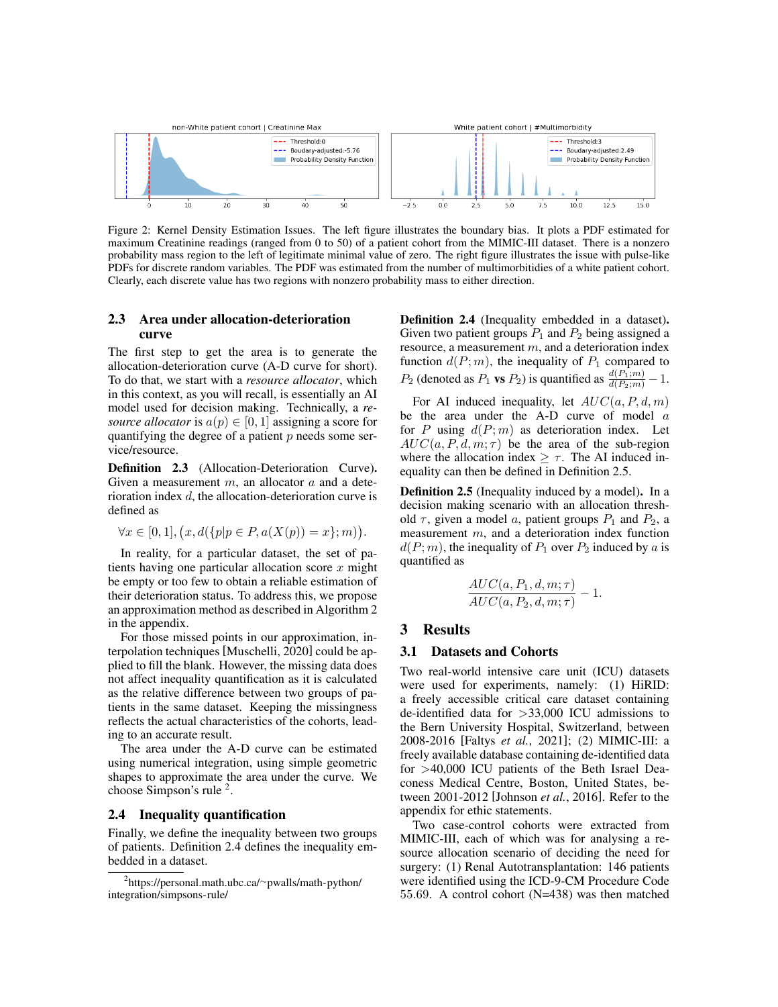<span id="page-3-0"></span>

Figure 2: Kernel Density Estimation Issues. The left figure illustrates the boundary bias. It plots a PDF estimated for maximum Creatinine readings (ranged from 0 to 50) of a patient cohort from the MIMIC-III dataset. There is a nonzero probability mass region to the left of legitimate minimal value of zero. The right figure illustrates the issue with pulse-like PDFs for discrete random variables. The PDF was estimated from the number of multimorbitidies of a white patient cohort. Clearly, each discrete value has two regions with nonzero probability mass to either direction.

### 2.3 Area under allocation-deterioration curve

The first step to get the area is to generate the allocation-deterioration curve (A-D curve for short). To do that, we start with a *resource allocator*, which in this context, as you will recall, is essentially an AI model used for decision making. Technically, a *resource allocator* is  $a(p) \in [0, 1]$  assigning a score for quantifying the degree of a patient  $p$  needs some service/resource.

Definition 2.3 (Allocation-Deterioration Curve). Given a measurement  $m$ , an allocator  $a$  and a deterioration index d, the allocation-deterioration curve is defined as

$$
\forall x \in [0,1], (x, d({p|p \in P}, a(X(p)) = x); m)).
$$

In reality, for a particular dataset, the set of patients having one particular allocation score  $x$  might be empty or too few to obtain a reliable estimation of their deterioration status. To address this, we propose an approximation method as described in Algorithm [2](#page-8-1) in the appendix.

For those missed points in our approximation, interpolation techniques [\[Muschelli, 2020\]](#page-7-15) could be applied to fill the blank. However, the missing data does not affect inequality quantification as it is calculated as the relative difference between two groups of patients in the same dataset. Keeping the missingness reflects the actual characteristics of the cohorts, leading to an accurate result.

The area under the A-D curve can be estimated using numerical integration, using simple geometric shapes to approximate the area under the curve. We choose Simpson's rule <sup>[2](#page-3-1)</sup>.

#### 2.4 Inequality quantification

Finally, we define the inequality between two groups of patients. Definition [2.4](#page-3-2) defines the inequality embedded in a dataset.

Definition 2.4 (Inequality embedded in a dataset). Given two patient groups  $P_1$  and  $P_2$  being assigned a resource, a measurement  $m$ , and a deterioration index function  $d(P; m)$ , the inequality of  $P_1$  compared to  $P_2$  (denoted as  $P_1$  **vs**  $P_2$ ) is quantified as  $\frac{d(P_1;m)}{d(P_2;m)} - 1$ .

For AI induced inequality, let  $AUC(a, P, d, m)$ be the area under the A-D curve of model  $a$ for  $P$  using  $d(P; m)$  as deterioration index. Let  $AUC(a, P, d, m; \tau)$  be the area of the sub-region where the allocation index  $\geq \tau$ . The AI induced inequality can then be defined in Definition [2.5.](#page-3-3)

<span id="page-3-3"></span>Definition 2.5 (Inequality induced by a model). In a decision making scenario with an allocation threshold  $\tau$ , given a model a, patient groups  $P_1$  and  $P_2$ , a measurement m, and a deterioration index function  $d(P; m)$ , the inequality of  $P_1$  over  $P_2$  induced by a is quantified as

$$
\frac{AUC(a, P_1, d, m; \tau)}{AUC(a, P_2, d, m; \tau)} - 1.
$$

#### 3 Results

#### 3.1 Datasets and Cohorts

Two real-world intensive care unit (ICU) datasets were used for experiments, namely: (1) HiRID: a freely accessible critical care dataset containing de-identified data for >33,000 ICU admissions to the Bern University Hospital, Switzerland, between 2008-2016 [Faltys *et al.*[, 2021\]](#page-7-16); (2) MIMIC-III: a freely available database containing de-identified data for >40,000 ICU patients of the Beth Israel Deaconess Medical Centre, Boston, United States, between 2001-2012 [\[Johnson](#page-7-13) *et al.*, 2016]. Refer to the appendix for ethic statements.

Two case-control cohorts were extracted from MIMIC-III, each of which was for analysing a resource allocation scenario of deciding the need for surgery: (1) Renal Autotransplantation: 146 patients were identified using the ICD-9-CM Procedure Code 55.69. A control cohort (N=438) was then matched

<span id="page-3-2"></span><span id="page-3-1"></span><sup>2</sup> [https://personal.math.ubc.ca/](https://personal.math.ubc.ca/~pwalls/math-python/integration/simpsons-rule/)∼pwalls/math-python/ [integration/simpsons-rule/](https://personal.math.ubc.ca/~pwalls/math-python/integration/simpsons-rule/)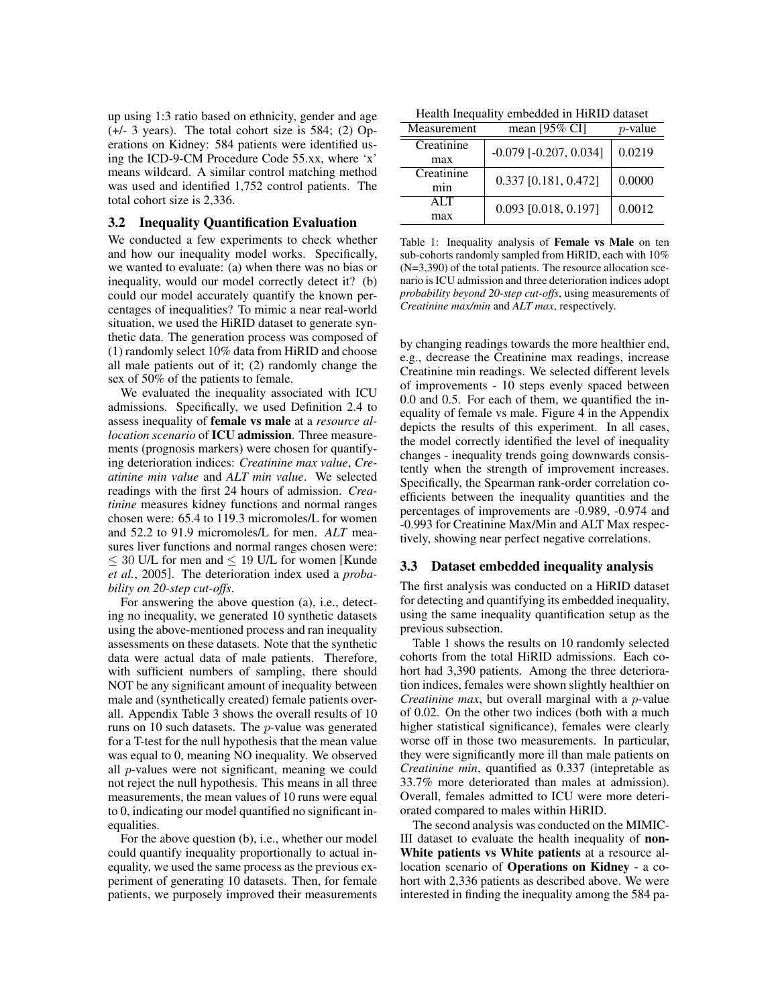up using 1:3 ratio based on ethnicity, gender and age (+/- 3 years). The total cohort size is 584; (2) Operations on Kidney: 584 patients were identified using the ICD-9-CM Procedure Code 55.xx, where 'x' means wildcard. A similar control matching method was used and identified 1,752 control patients. The total cohort size is 2,336.

#### 3.2 Inequality Quantification Evaluation

We conducted a few experiments to check whether and how our inequality model works. Specifically, we wanted to evaluate: (a) when there was no bias or inequality, would our model correctly detect it? (b) could our model accurately quantify the known percentages of inequalities? To mimic a near real-world situation, we used the HiRID dataset to generate synthetic data. The generation process was composed of (1) randomly select 10% data from HiRID and choose all male patients out of it; (2) randomly change the sex of 50% of the patients to female.

We evaluated the inequality associated with ICU admissions. Specifically, we used Definition [2.4](#page-3-2) to assess inequality of female vs male at a *resource allocation scenario* of ICU admission. Three measurements (prognosis markers) were chosen for quantifying deterioration indices: *Creatinine max value*, *Creatinine min value* and *ALT min value*. We selected readings with the first 24 hours of admission. *Creatinine* measures kidney functions and normal ranges chosen were: 65.4 to 119.3 micromoles/L for women and 52.2 to 91.9 micromoles/L for men. *ALT* measures liver functions and normal ranges chosen were:  $\leq$  30 U/L for men and  $\leq$  19 U/L for women [\[Kunde](#page-7-17) *et al.*[, 2005\]](#page-7-17). The deterioration index used a *probability on 20-step cut-offs*.

For answering the above question (a), i.e., detecting no inequality, we generated 10 synthetic datasets using the above-mentioned process and ran inequality assessments on these datasets. Note that the synthetic data were actual data of male patients. Therefore, with sufficient numbers of sampling, there should NOT be any significant amount of inequality between male and (synthetically created) female patients overall. Appendix Table [3](#page-8-2) shows the overall results of 10 runs on 10 such datasets. The p-value was generated for a T-test for the null hypothesis that the mean value was equal to 0, meaning NO inequality. We observed all p-values were not significant, meaning we could not reject the null hypothesis. This means in all three measurements, the mean values of 10 runs were equal to 0, indicating our model quantified no significant inequalities.

For the above question (b), i.e., whether our model could quantify inequality proportionally to actual inequality, we used the same process as the previous experiment of generating 10 datasets. Then, for female patients, we purposely improved their measurements

<span id="page-4-0"></span>Health Inequality embedded in HiRID dataset

| Measurement | mean $[95\% \text{ CI}]$     | $p$ -value |  |
|-------------|------------------------------|------------|--|
| Creatinine  | $-0.079$ [ $-0.207, 0.034$ ] | 0.0219     |  |
| max         |                              |            |  |
| Creatinine  | 0.337 [0.181, 0.472]         | 0.0000     |  |
| min         |                              |            |  |
| ALT         | 0.093 [0.018, 0.197]         | 0.0012     |  |
| max         |                              |            |  |

Table 1: Inequality analysis of Female vs Male on ten sub-cohorts randomly sampled from HiRID, each with 10% (N=3,390) of the total patients. The resource allocation scenario is ICU admission and three deterioration indices adopt *probability beyond 20-step cut-offs*, using measurements of *Creatinine max/min* and *ALT max*, respectively.

by changing readings towards the more healthier end, e.g., decrease the Creatinine max readings, increase Creatinine min readings. We selected different levels of improvements - 10 steps evenly spaced between 0.0 and 0.5. For each of them, we quantified the inequality of female vs male. Figure [4](#page-9-0) in the Appendix depicts the results of this experiment. In all cases, the model correctly identified the level of inequality changes - inequality trends going downwards consistently when the strength of improvement increases. Specifically, the Spearman rank-order correlation coefficients between the inequality quantities and the percentages of improvements are -0.989, -0.974 and -0.993 for Creatinine Max/Min and ALT Max respectively, showing near perfect negative correlations.

#### 3.3 Dataset embedded inequality analysis

The first analysis was conducted on a HiRID dataset for detecting and quantifying its embedded inequality, using the same inequality quantification setup as the previous subsection.

Table [1](#page-4-0) shows the results on 10 randomly selected cohorts from the total HiRID admissions. Each cohort had 3,390 patients. Among the three deterioration indices, females were shown slightly healthier on *Creatinine max*, but overall marginal with a *p*-value of 0.02. On the other two indices (both with a much higher statistical significance), females were clearly worse off in those two measurements. In particular, they were significantly more ill than male patients on *Creatinine min*, quantified as 0.337 (intepretable as 33.7% more deteriorated than males at admission). Overall, females admitted to ICU were more deteriorated compared to males within HiRID.

The second analysis was conducted on the MIMIC-III dataset to evaluate the health inequality of non-White patients vs White patients at a resource allocation scenario of Operations on Kidney - a cohort with 2,336 patients as described above. We were interested in finding the inequality among the 584 pa-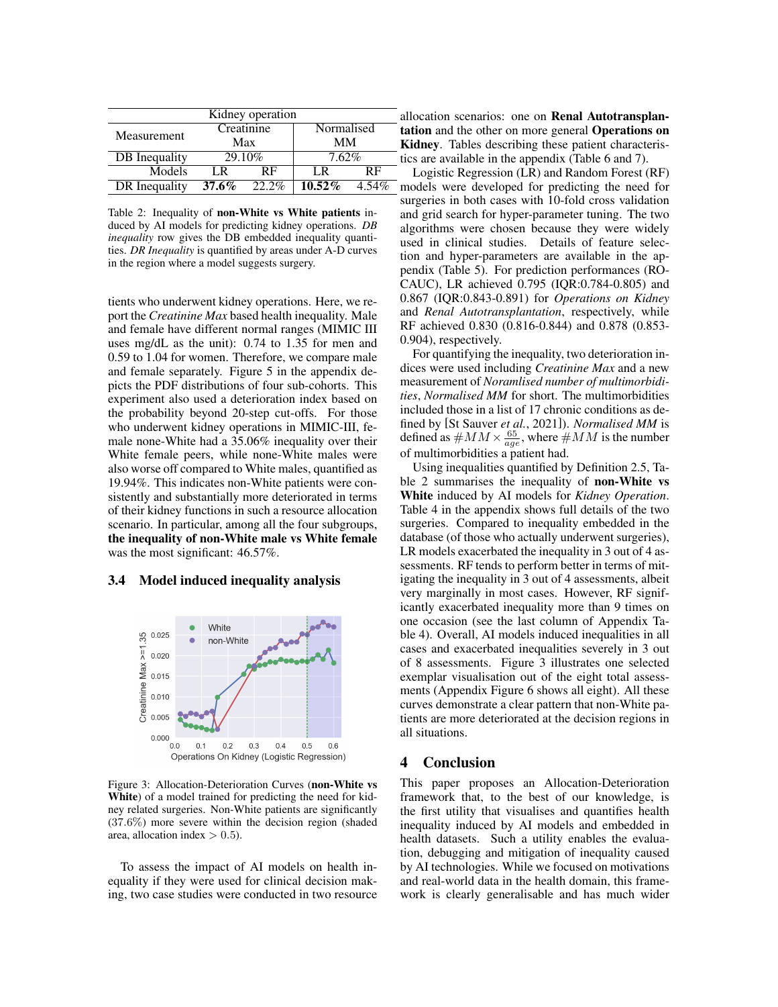<span id="page-5-0"></span>

|               |                   | Kidney operation |            |       |
|---------------|-------------------|------------------|------------|-------|
|               | Creatinine<br>Max |                  | Normalised |       |
| Measurement   |                   |                  | MМ         |       |
| DB Inequality |                   | 29.10%           | $7.62\%$   |       |
| Models        | LR                | RF               | ΙR         | RF    |
| DR Inequality | 37.6%             | $22.2\%$         | $10.52\%$  | 4.54% |

Table 2: Inequality of non-White vs White patients induced by AI models for predicting kidney operations. *DB inequality* row gives the DB embedded inequality quantities. *DR Inequality* is quantified by areas under A-D curves in the region where a model suggests surgery.

tients who underwent kidney operations. Here, we report the *Creatinine Max* based health inequality. Male and female have different normal ranges (MIMIC III uses mg/dL as the unit): 0.74 to 1.35 for men and 0.59 to 1.04 for women. Therefore, we compare male and female separately. Figure [5](#page-9-1) in the appendix depicts the PDF distributions of four sub-cohorts. This experiment also used a deterioration index based on the probability beyond 20-step cut-offs. For those who underwent kidney operations in MIMIC-III, female none-White had a 35.06% inequality over their White female peers, while none-White males were also worse off compared to White males, quantified as 19.94%. This indicates non-White patients were consistently and substantially more deteriorated in terms of their kidney functions in such a resource allocation scenario. In particular, among all the four subgroups, the inequality of non-White male vs White female was the most significant:  $46.57\%$ .

#### 3.4 Model induced inequality analysis

<span id="page-5-1"></span>

Figure 3: Allocation-Deterioration Curves (non-White vs White) of a model trained for predicting the need for kidney related surgeries. Non-White patients are significantly (37.6%) more severe within the decision region (shaded area, allocation index  $> 0.5$ ).

To assess the impact of AI models on health inequality if they were used for clinical decision making, two case studies were conducted in two resource llocation scenarios: one on Renal Autotransplanation and the other on more general Operations on Kidney. Tables describing these patient characteris-the area available in the appendix (Table [6](#page-10-0) and [7\)](#page-10-1).

Logistic Regression (LR) and Random Forest (RF) models were developed for predicting the need for surgeries in both cases with 10-fold cross validation and grid search for hyper-parameter tuning. The two algorithms were chosen because they were widely used in clinical studies. Details of feature selection and hyper-parameters are available in the appendix (Table [5\)](#page-10-2). For prediction performances (RO-CAUC), LR achieved 0.795 (IQR:0.784-0.805) and 0.867 (IQR:0.843-0.891) for *Operations on Kidney* and *Renal Autotransplantation*, respectively, while RF achieved 0.830 (0.816-0.844) and 0.878 (0.853- 0.904), respectively.

For quantifying the inequality, two deterioration indices were used including *Creatinine Max* and a new measurement of *Noramlised number of multimorbidities*, *Normalised MM* for short. The multimorbidities included those in a list of 17 chronic conditions as defined by [\[St Sauver](#page-7-18) *et al.*, 2021]). *Normalised MM* is defined as  $\#MM \times \frac{65}{age}$ , where  $\#MM$  is the number of multimorbidities a patient had.

Using inequalities quantified by Definition [2.5,](#page-3-3) Table [2](#page-5-0) summarises the inequality of non-White vs White induced by AI models for *Kidney Operation*. Table [4](#page-9-2) in the appendix shows full details of the two surgeries. Compared to inequality embedded in the database (of those who actually underwent surgeries), LR models exacerbated the inequality in 3 out of 4 assessments. RF tends to perform better in terms of mitigating the inequality in 3 out of 4 assessments, albeit very marginally in most cases. However, RF significantly exacerbated inequality more than 9 times on one occasion (see the last column of Appendix Table [4\)](#page-9-2). Overall, AI models induced inequalities in all cases and exacerbated inequalities severely in 3 out of 8 assessments. Figure [3](#page-5-1) illustrates one selected exemplar visualisation out of the eight total assessments (Appendix Figure [6](#page-11-0) shows all eight). All these curves demonstrate a clear pattern that non-White patients are more deteriorated at the decision regions in all situations.

## 4 Conclusion

This paper proposes an Allocation-Deterioration framework that, to the best of our knowledge, is the first utility that visualises and quantifies health inequality induced by AI models and embedded in health datasets. Such a utility enables the evaluation, debugging and mitigation of inequality caused by AI technologies. While we focused on motivations and real-world data in the health domain, this framework is clearly generalisable and has much wider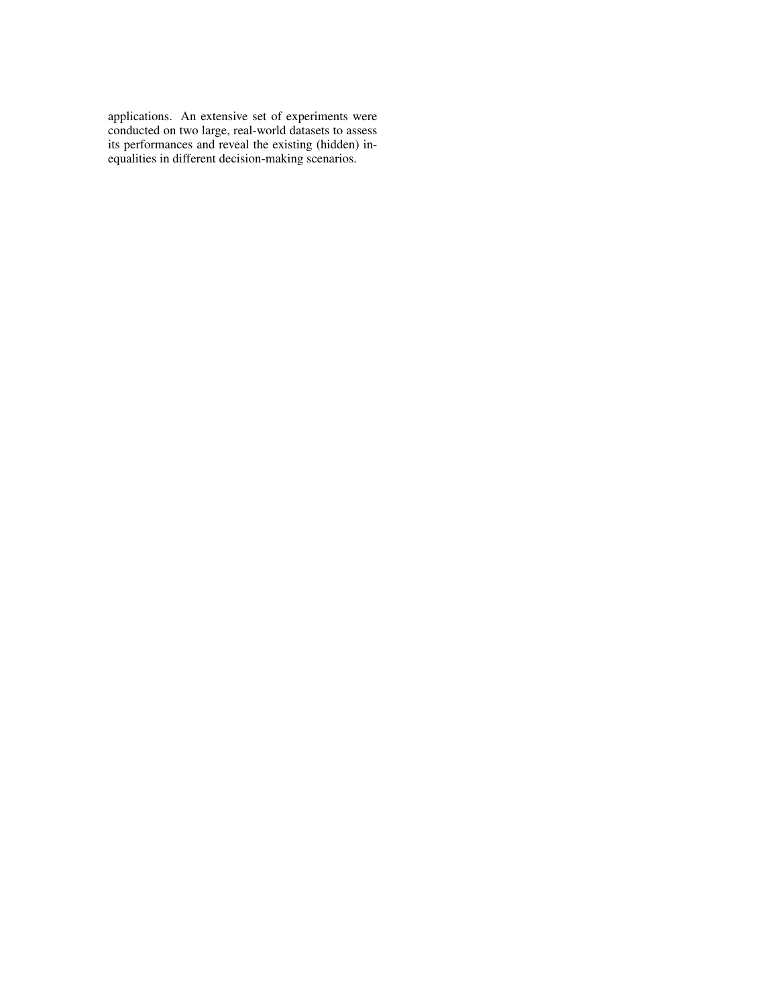applications. An extensive set of experiments were conducted on two large, real-world datasets to assess its performances and reveal the existing (hidden) inequalities in different decision-making scenarios.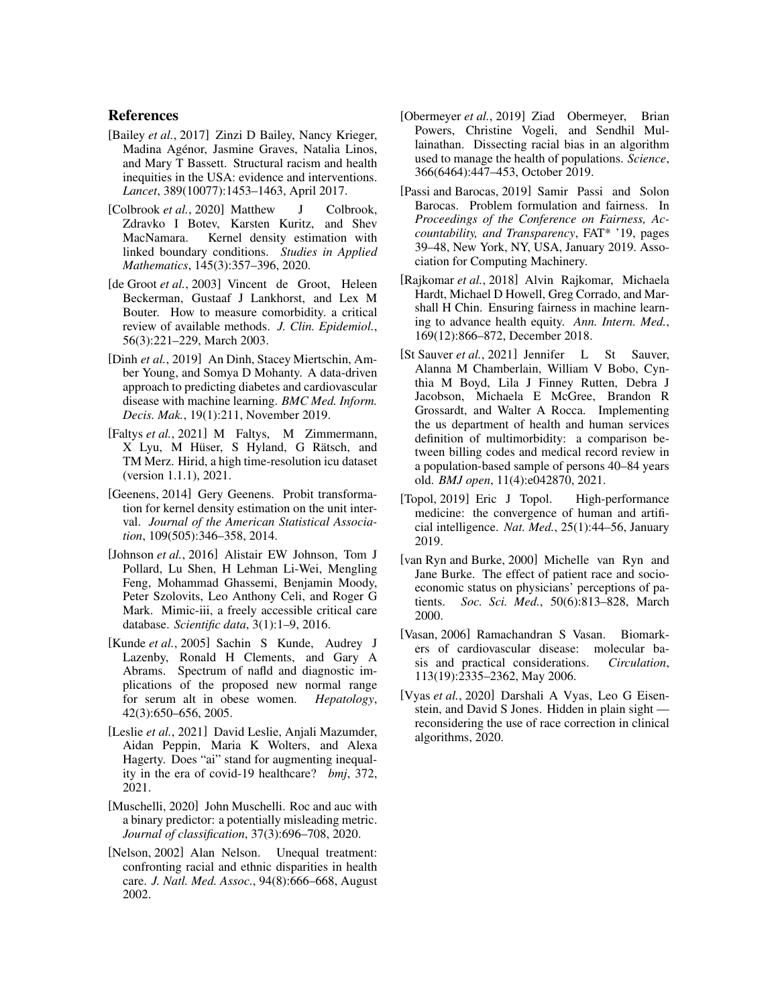### References

- <span id="page-7-4"></span>[Bailey et al., 2017] Zinzi D Bailey, Nancy Krieger, Madina Agenor, Jasmine Graves, Natalia Linos, ´ and Mary T Bassett. Structural racism and health inequities in the USA: evidence and interventions. *Lancet*, 389(10077):1453–1463, April 2017.
- <span id="page-7-14"></span>[Colbrook *et al.*, 2020] Matthew J Colbrook, Zdravko I Botev, Karsten Kuritz, and Shev MacNamara. Kernel density estimation with linked boundary conditions. *Studies in Applied Mathematics*, 145(3):357–396, 2020.
- <span id="page-7-10"></span>[de Groot *et al.*, 2003] Vincent de Groot, Heleen Beckerman, Gustaaf J Lankhorst, and Lex M Bouter. How to measure comorbidity. a critical review of available methods. *J. Clin. Epidemiol.*, 56(3):221–229, March 2003.
- <span id="page-7-9"></span>[Dinh *et al.*, 2019] An Dinh, Stacey Miertschin, Amber Young, and Somya D Mohanty. A data-driven approach to predicting diabetes and cardiovascular disease with machine learning. *BMC Med. Inform. Decis. Mak.*, 19(1):211, November 2019.
- <span id="page-7-16"></span>[Faltys et al., 2021] M Faltys, M Zimmermann, X Lyu, M Hüser, S Hyland, G Rätsch, and TM Merz. Hirid, a high time-resolution icu dataset (version 1.1.1), 2021.
- <span id="page-7-12"></span>[Geenens, 2014] Gery Geenens. Probit transformation for kernel density estimation on the unit interval. *Journal of the American Statistical Association*, 109(505):346–358, 2014.
- <span id="page-7-13"></span>[Johnson *et al.*, 2016] Alistair EW Johnson, Tom J Pollard, Lu Shen, H Lehman Li-Wei, Mengling Feng, Mohammad Ghassemi, Benjamin Moody, Peter Szolovits, Leo Anthony Celi, and Roger G Mark. Mimic-iii, a freely accessible critical care database. *Scientific data*, 3(1):1–9, 2016.
- <span id="page-7-17"></span>[Kunde *et al.*, 2005] Sachin S Kunde, Audrey J Lazenby, Ronald H Clements, and Gary A Abrams. Spectrum of nafld and diagnostic implications of the proposed new normal range for serum alt in obese women. *Hepatology*, 42(3):650–656, 2005.
- <span id="page-7-1"></span>[Leslie *et al.*, 2021] David Leslie, Anjali Mazumder, Aidan Peppin, Maria K Wolters, and Alexa Hagerty. Does "ai" stand for augmenting inequality in the era of covid-19 healthcare? *bmj*, 372, 2021.
- <span id="page-7-15"></span>[Muschelli, 2020] John Muschelli. Roc and auc with a binary predictor: a potentially misleading metric. *Journal of classification*, 37(3):696–708, 2020.
- <span id="page-7-2"></span>[Nelson, 2002] Alan Nelson. Unequal treatment: confronting racial and ethnic disparities in health care. *J. Natl. Med. Assoc.*, 94(8):666–668, August 2002.
- <span id="page-7-8"></span>[Obermeyer *et al.*, 2019] Ziad Obermeyer, Brian Powers, Christine Vogeli, and Sendhil Mullainathan. Dissecting racial bias in an algorithm used to manage the health of populations. *Science*, 366(6464):447–453, October 2019.
- <span id="page-7-6"></span>[Passi and Barocas, 2019] Samir Passi and Solon Barocas. Problem formulation and fairness. In *Proceedings of the Conference on Fairness, Accountability, and Transparency*, FAT\* '19, pages 39–48, New York, NY, USA, January 2019. Association for Computing Machinery.
- <span id="page-7-5"></span>[Rajkomar *et al.*, 2018] Alvin Rajkomar, Michaela Hardt, Michael D Howell, Greg Corrado, and Marshall H Chin. Ensuring fairness in machine learning to advance health equity. *Ann. Intern. Med.*, 169(12):866–872, December 2018.
- <span id="page-7-18"></span>[St Sauver *et al.*, 2021] Jennifer L St Sauver, Alanna M Chamberlain, William V Bobo, Cynthia M Boyd, Lila J Finney Rutten, Debra J Jacobson, Michaela E McGree, Brandon R Grossardt, and Walter A Rocca. Implementing the us department of health and human services definition of multimorbidity: a comparison between billing codes and medical record review in a population-based sample of persons 40–84 years old. *BMJ open*, 11(4):e042870, 2021.
- <span id="page-7-0"></span>[Topol, 2019] Eric J Topol. High-performance medicine: the convergence of human and artificial intelligence. *Nat. Med.*, 25(1):44–56, January 2019.
- <span id="page-7-3"></span>[van Ryn and Burke, 2000] Michelle van Ryn and Jane Burke. The effect of patient race and socioeconomic status on physicians' perceptions of patients. *Soc. Sci. Med.*, 50(6):813–828, March 2000.
- <span id="page-7-11"></span>[Vasan, 2006] Ramachandran S Vasan. Biomarkers of cardiovascular disease: molecular basis and practical considerations. *Circulation*, 113(19):2335–2362, May 2006.
- <span id="page-7-7"></span>[Vyas *et al.*, 2020] Darshali A Vyas, Leo G Eisenstein, and David S Jones. Hidden in plain sight reconsidering the use of race correction in clinical algorithms, 2020.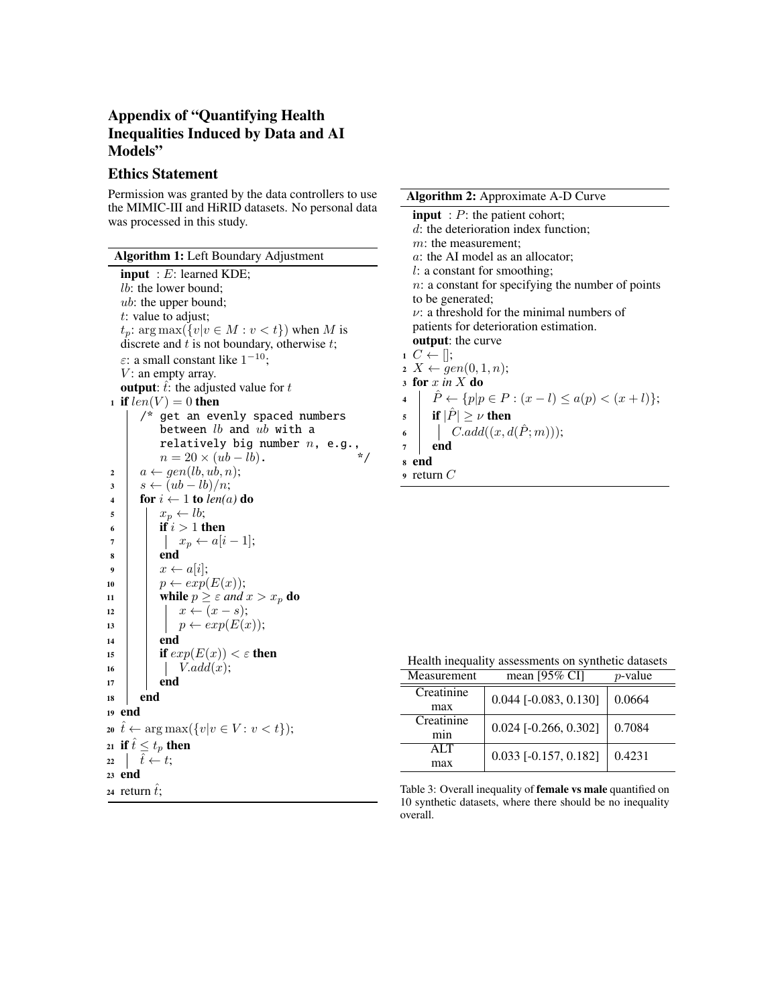# Appendix of "Quantifying Health Inequalities Induced by Data and AI Models"

## Ethics Statement

Permission was granted by the data controllers to use the MIMIC-III and HiRID datasets. No personal data was processed in this study.

<span id="page-8-0"></span>

| Algorithm 1: Left Boundary Adjustment                                      |
|----------------------------------------------------------------------------|
| <b>input</b> : $E$ : learned KDE;                                          |
| <i>lb</i> : the lower bound;                                               |
| <i>ub</i> : the upper bound;                                               |
| $t$ : value to adjust;                                                     |
| $t_p$ : $\arg \max({v v \in M : v < t})$ when M is                         |
| discrete and $t$ is not boundary, otherwise $t$ ;                          |
| $\varepsilon$ : a small constant like $1^{-10}$ ;                          |
| $V:$ an empty array.                                                       |
| <b>output:</b> $t$ : the adjusted value for $t$                            |
| 1 if $len(V) = 0$ then                                                     |
| /* get an evenly spaced numbers                                            |
| between $lb$ and $ub$ with a                                               |
| between to and all $\sum_{n=1}^{\infty}$ relatively big number $n$ , e.g., |
| $n = 20 \times (ub - lb)$ .                                                |
| $a \leftarrow gen(lb, ub, n);$<br>$\overline{2}$                           |
| $s \leftarrow (ub - lb)/n;$<br>3                                           |
| for $i \leftarrow 1$ to $len(a)$ do<br>$\overline{\mathbf{4}}$             |
| $x_p \leftarrow lb;$<br>5                                                  |
| if $i > 1$ then<br>6                                                       |
| $x_p \leftarrow a[i-1];$<br>7                                              |
| end<br>8                                                                   |
| $x \leftarrow a[i];$<br>9                                                  |
| $p \leftarrow exp(E(x));$<br>10                                            |
| while $p \geq \varepsilon$ and $x > x_p$ do<br>11                          |
| $x \leftarrow (x - s);$<br>12                                              |
| $p \leftarrow exp(E(x));$<br>13                                            |
| end<br>14                                                                  |
| if $exp(E(x)) < \varepsilon$ then<br>15                                    |
| V.add(x);<br>16                                                            |
| end<br>17                                                                  |
| end<br>18                                                                  |
| end<br>19                                                                  |
| 20 $\hat{t} \leftarrow \arg \max(\{v   v \in V \colon v < t\});$           |
| 21 if $\hat{t} \leq t_p$ then                                              |
| $\hat{t} \leftarrow t$ ;<br>22                                             |
| 23 end                                                                     |
| 24 return $\hat{t}$ ;                                                      |
|                                                                            |

<span id="page-8-1"></span>

| <b>Algorithm 2:</b> Approximate A-D Curve                                                      |
|------------------------------------------------------------------------------------------------|
| <b>input</b> : $P$ : the patient cohort;                                                       |
| $d$ : the deterioration index function;                                                        |
| $m$ : the measurement;                                                                         |
| a: the AI model as an allocator;                                                               |
| $l:$ a constant for smoothing;                                                                 |
| $n:$ a constant for specifying the number of points                                            |
| to be generated;                                                                               |
| $\nu$ : a threshold for the minimal numbers of                                                 |
| patients for deterioration estimation.                                                         |
| <b>output:</b> the curve                                                                       |
| $1\ C \leftarrow$ $  $ ;                                                                       |
| $x \times \leftarrow gen(0,1,n);$                                                              |
| 3 for $x$ in $X$ do                                                                            |
| $\hat{P} \leftarrow \{p   p \in P : (x - l) \leq a(p) < (x + l)\};$<br>$\overline{\mathbf{4}}$ |
| $\mathfrak{s}$ if $ \hat{P}  \geq \nu$ then                                                    |
| $  C.add((x, d(\hat{P}; m)));$<br>6                                                            |
| end<br>7                                                                                       |
| end<br>8                                                                                       |
| return $C$<br>9                                                                                |

<span id="page-8-2"></span>Health inequality assessments on synthetic datasets

| Measurement       | mean $[95\%$ CI]        | $p$ -value |
|-------------------|-------------------------|------------|
| Creatinine<br>max | $0.044$ [-0.083, 0.130] | 0.0664     |
| Creatinine<br>min | $0.024$ [-0.266, 0.302] | 0.7084     |
| ATT<br>max        | $0.033$ [-0.157, 0.182] | 0.4231     |

Table 3: Overall inequality of female vs male quantified on 10 synthetic datasets, where there should be no inequality overall.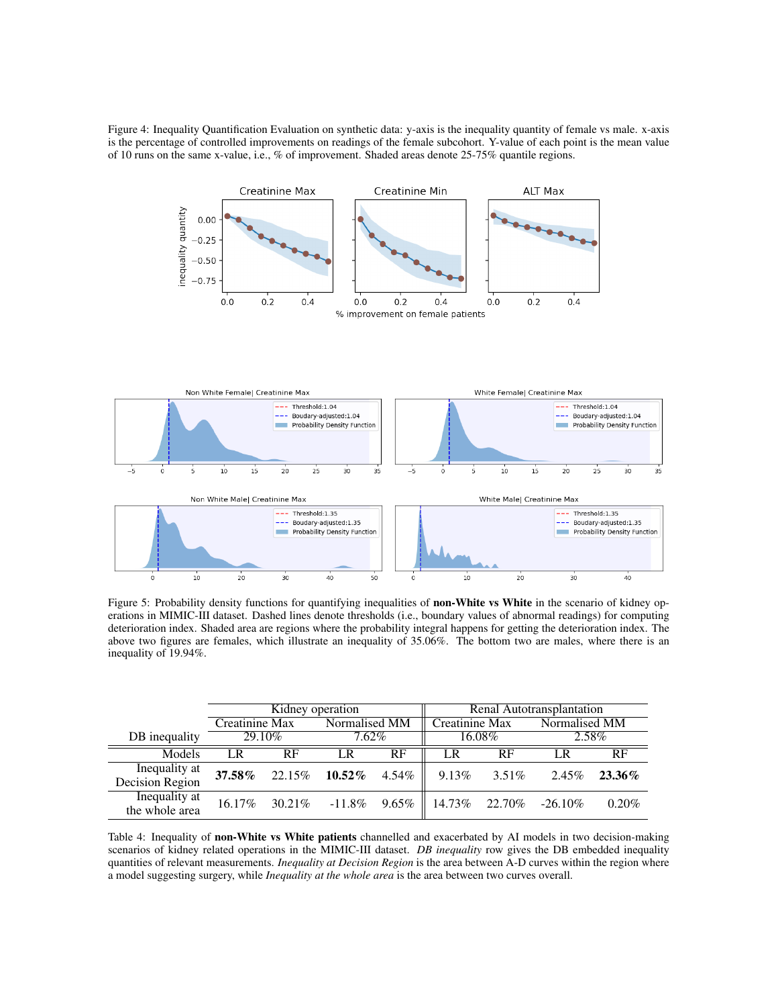<span id="page-9-0"></span>Figure 4: Inequality Quantification Evaluation on synthetic data: y-axis is the inequality quantity of female vs male. x-axis is the percentage of controlled improvements on readings of the female subcohort. Y-value of each point is the mean value of 10 runs on the same x-value, i.e., % of improvement. Shaded areas denote 25-75% quantile regions.



<span id="page-9-1"></span>

Figure 5: Probability density functions for quantifying inequalities of non-White vs White in the scenario of kidney operations in MIMIC-III dataset. Dashed lines denote thresholds (i.e., boundary values of abnormal readings) for computing deterioration index. Shaded area are regions where the probability integral happens for getting the deterioration index. The above two figures are females, which illustrate an inequality of 35.06%. The bottom two are males, where there is an inequality of 19.94%.

<span id="page-9-2"></span>

|                                  | Kidney operation |         |               | Renal Autotransplantation |                |          |               |          |
|----------------------------------|------------------|---------|---------------|---------------------------|----------------|----------|---------------|----------|
|                                  | Creatinine Max   |         | Normalised MM |                           | Creatinine Max |          | Normalised MM |          |
| DB inequality                    | 29.10\%          |         | $7.62\%$      |                           |                | 16.08%   | 2.58%         |          |
| Models                           | LR               | RF      | LR            | RF                        | LR             | RF       | I R           | RF       |
| Inequality at<br>Decision Region | 37.58%           | 22.15%  | $10.52\%$     | 4.54%                     | $9.13\%$       | $3.51\%$ | 2.45%         | 23.36%   |
| Inequality at<br>the whole area  | 16.17%           | 30.21\% | $-11.8\%$     | $9.65\%$                  | 14.73%         | 22.70%   | $-26.10\%$    | $0.20\%$ |

Table 4: Inequality of non-White vs White patients channelled and exacerbated by AI models in two decision-making scenarios of kidney related operations in the MIMIC-III dataset. *DB inequality* row gives the DB embedded inequality quantities of relevant measurements. *Inequality at Decision Region* is the area between A-D curves within the region where a model suggesting surgery, while *Inequality at the whole area* is the area between two curves overall.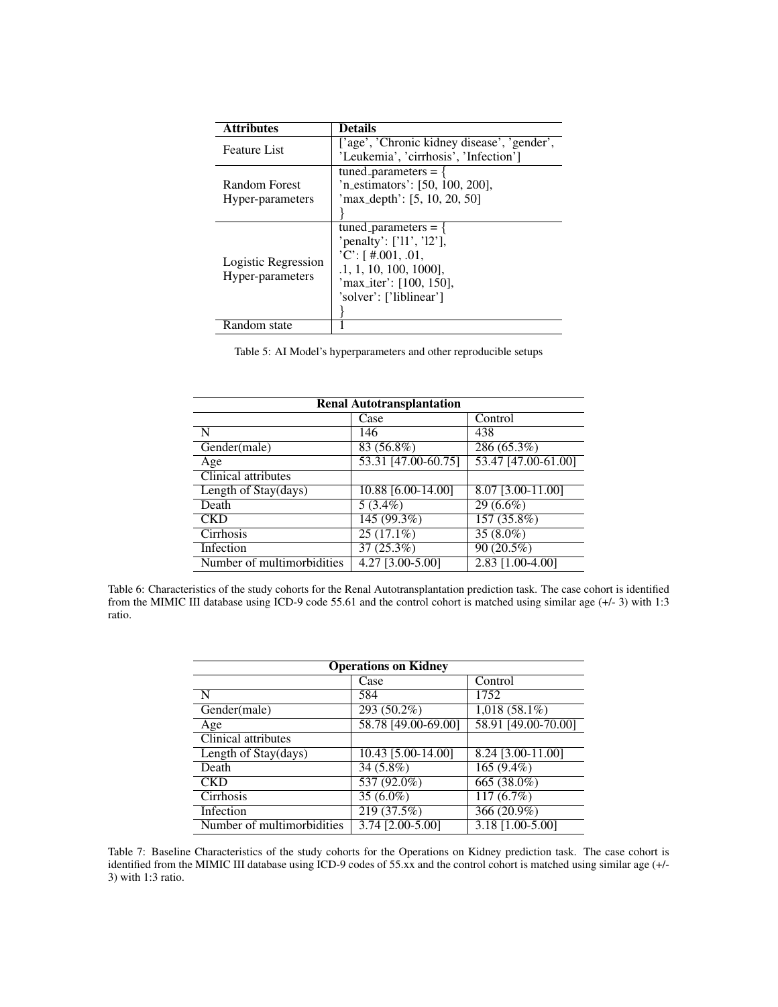<span id="page-10-2"></span>

| <b>Attributes</b>                       | <b>Details</b>                                                                                                                                                 |  |
|-----------------------------------------|----------------------------------------------------------------------------------------------------------------------------------------------------------------|--|
| Feature List                            | ['age', 'Chronic kidney disease', 'gender',<br>'Leukemia', 'cirrhosis', 'Infection']                                                                           |  |
| Random Forest<br>Hyper-parameters       | tuned_parameters = $\{$<br>'n_estimators': [50, 100, 200],<br>'max_depth': $[5, 10, 20, 50]$                                                                   |  |
| Logistic Regression<br>Hyper-parameters | tuned_parameters = $\{$<br>'penalty': ['11', '12'],<br>$'C'$ : [#.001, .01,<br>$.1, 1, 10, 100, 1000$ ],<br>'max_iter': [100, 150],<br>'solver': ['liblinear'] |  |
| Random state                            |                                                                                                                                                                |  |

Table 5: AI Model's hyperparameters and other reproducible setups

<span id="page-10-0"></span>

| <b>Renal Autotransplantation</b> |                                  |                     |  |  |
|----------------------------------|----------------------------------|---------------------|--|--|
|                                  | Case                             | Control             |  |  |
| N                                | 146                              | 438                 |  |  |
| $\overline{Gender(male)}$        | $83(56.8\%)$                     | 286(65.3%)          |  |  |
| Age                              | $\overline{53.31}$ [47.00-60.75] | 53.47 [47.00-61.00] |  |  |
| <b>Clinical attributes</b>       |                                  |                     |  |  |
| Length of Stay(days)             | 10.88 [6.00-14.00]               | $8.07$ [3.00-11.00] |  |  |
| Death                            | $\overline{5(3.4\%)}$            | $29(6.6\%)$         |  |  |
| <b>CKD</b>                       | 145(99.3%)                       | $157(35.8\%)$       |  |  |
| Cirrhosis                        | $25(17.1\%)$                     | $35(8.0\%)$         |  |  |
| Infection                        | 37(25.3%)                        | 90(20.5%)           |  |  |
| Number of multimorbidities       | 4.27 [3.00-5.00]                 | 2.83 [1.00-4.00]    |  |  |

<span id="page-10-1"></span>Table 6: Characteristics of the study cohorts for the Renal Autotransplantation prediction task. The case cohort is identified from the MIMIC III database using ICD-9 code 55.61 and the control cohort is matched using similar age (+/- 3) with 1:3 ratio.

| <b>Operations on Kidney</b> |                        |                         |  |  |
|-----------------------------|------------------------|-------------------------|--|--|
|                             | Case                   | Control                 |  |  |
| N                           | 584                    | 1752                    |  |  |
| $\overline{Gender(male)}$   | 293 (50.2%)            | $1,018(58.1\%)$         |  |  |
| Age                         | 58.78 [49.00-69.00]    | 58.91 [49.00-70.00]     |  |  |
| Clinical attributes         |                        |                         |  |  |
| Length of Stay(days)        | 10.43 [5.00-14.00]     | 8.24 [3.00-11.00]       |  |  |
| Death                       | 34 (5.8%)              | $165(9.4\%)$            |  |  |
| <b>CKD</b>                  | $537(92.0\%)$          | 665 $(38.0\%)$          |  |  |
| Cirrhosis                   | $35(6.0\%)$            | $\overline{117(6.7\%)}$ |  |  |
| Infection                   | 219(37.5%)             | $366(20.9\%)$           |  |  |
| Number of multimorbidities  | $3.74$ $[2.00 - 5.00]$ | $3.18$ [1.00-5.00]      |  |  |

Table 7: Baseline Characteristics of the study cohorts for the Operations on Kidney prediction task. The case cohort is identified from the MIMIC III database using ICD-9 codes of 55.xx and the control cohort is matched using similar age (+/- 3) with 1:3 ratio.